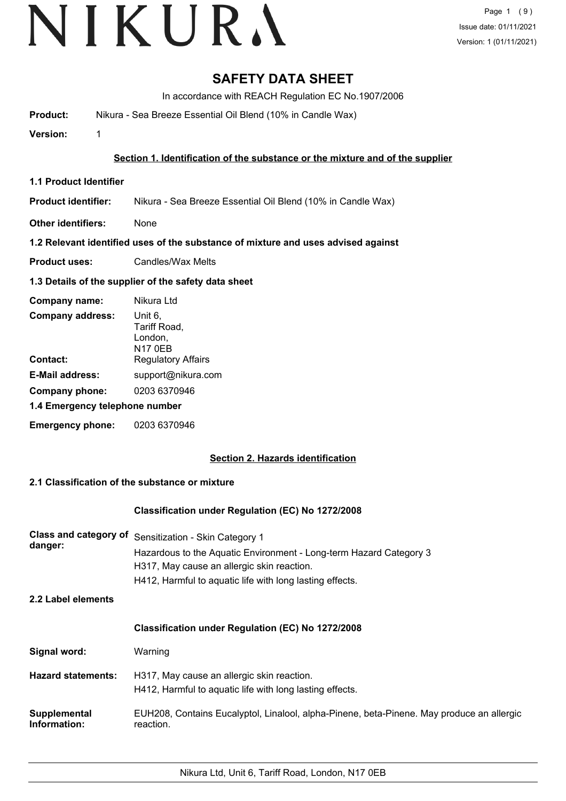# **SAFETY DATA SHEET**

In accordance with REACH Regulation EC No.1907/2006

**Product:** Nikura - Sea Breeze Essential Oil Blend (10% in Candle Wax)

**Version:** 1

# **Section 1. Identification of the substance or the mixture and of the supplier**

**1.1 Product Identifier**

**Product identifier:** Nikura - Sea Breeze Essential Oil Blend (10% in Candle Wax)

**Other identifiers:** None

# **1.2 Relevant identified uses of the substance of mixture and uses advised against**

**Product uses:** Candles/Wax Melts

# **1.3 Details of the supplier of the safety data sheet**

| Company name:                  | Nikura Ltd                                           |
|--------------------------------|------------------------------------------------------|
| <b>Company address:</b>        | Unit 6,<br>Tariff Road,<br>London,<br><b>N17 0EB</b> |
| Contact:                       | <b>Regulatory Affairs</b>                            |
| <b>E-Mail address:</b>         | support@nikura.com                                   |
| Company phone:                 | 0203 6370946                                         |
| 1.4 Emergency telephone number |                                                      |
| <b>Emergency phone:</b>        | 0203 6370946                                         |

# **Section 2. Hazards identification**

# **2.1 Classification of the substance or mixture**

# **Classification under Regulation (EC) No 1272/2008**

| Class and category of<br>danger:    | Sensitization - Skin Category 1<br>Hazardous to the Aquatic Environment - Long-term Hazard Category 3<br>H317, May cause an allergic skin reaction.<br>H412, Harmful to aquatic life with long lasting effects. |  |
|-------------------------------------|-----------------------------------------------------------------------------------------------------------------------------------------------------------------------------------------------------------------|--|
| 2.2 Label elements                  |                                                                                                                                                                                                                 |  |
|                                     | <b>Classification under Regulation (EC) No 1272/2008</b>                                                                                                                                                        |  |
| Signal word:                        | Warning                                                                                                                                                                                                         |  |
| <b>Hazard statements:</b>           | H317, May cause an allergic skin reaction.<br>H412, Harmful to aquatic life with long lasting effects.                                                                                                          |  |
| <b>Supplemental</b><br>Information: | EUH208, Contains Eucalyptol, Linalool, alpha-Pinene, beta-Pinene. May produce an allergic<br>reaction.                                                                                                          |  |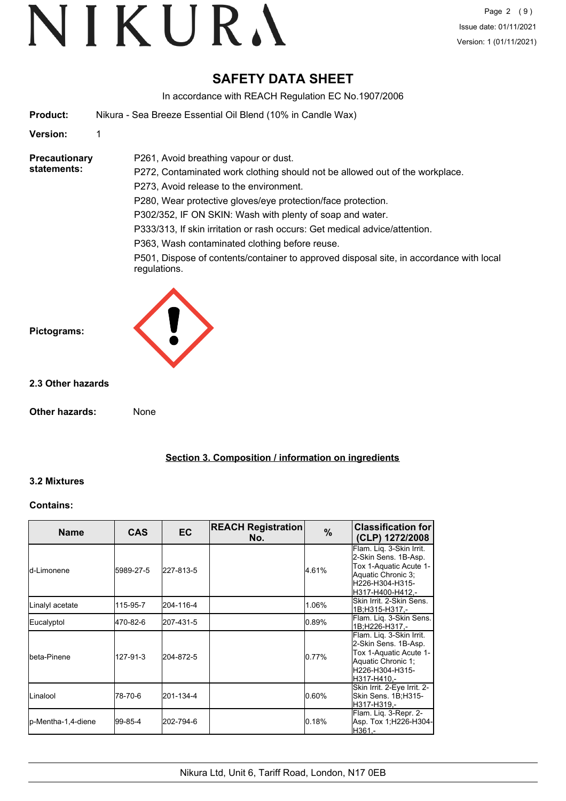# **SAFETY DATA SHEET**

In accordance with REACH Regulation EC No.1907/2006

| Product: | Nikura - Sea Breeze Essential Oil Blend (10% in Candle Wax) |
|----------|-------------------------------------------------------------|
|          |                                                             |

P261, Avoid breathing vapour or dust.

# **Version:** 1

#### **Precautionary statements:**

P272, Contaminated work clothing should not be allowed out of the workplace. P273, Avoid release to the environment. P280, Wear protective gloves/eye protection/face protection. P302/352, IF ON SKIN: Wash with plenty of soap and water.

P333/313, If skin irritation or rash occurs: Get medical advice/attention.

P363, Wash contaminated clothing before reuse.

P501, Dispose of contents/container to approved disposal site, in accordance with local regulations.



# **2.3 Other hazards**

**Other hazards:** None

**Section 3. Composition / information on ingredients**

# **3.2 Mixtures**

# **Contains:**

| <b>Name</b>        | <b>CAS</b> | EC        | <b>REACH Registration</b><br>No. | $\%$  | <b>Classification for</b><br>(CLP) 1272/2008                                                                                            |
|--------------------|------------|-----------|----------------------------------|-------|-----------------------------------------------------------------------------------------------------------------------------------------|
| ld-Limonene        | 5989-27-5  | 227-813-5 |                                  | 4.61% | Flam. Lig. 3-Skin Irrit.<br>2-Skin Sens. 1B-Asp.<br>Tox 1-Aquatic Acute 1-<br>Aquatic Chronic 3;<br>H226-H304-H315-<br>H317-H400-H412,- |
| Linalyl acetate    | 115-95-7   | 204-116-4 |                                  | 1.06% | Skin Irrit, 2-Skin Sens.<br>1B:H315-H317.-                                                                                              |
| Eucalyptol         | 470-82-6   | 207-431-5 |                                  | 0.89% | Flam. Liq. 3-Skin Sens.<br>1B;H226-H317,-                                                                                               |
| Ibeta-Pinene       | 127-91-3   | 204-872-5 |                                  | 0.77% | Flam. Liq. 3-Skin Irrit.<br>2-Skin Sens. 1B-Asp.<br>Tox 1-Aquatic Acute 1-<br>Aquatic Chronic 1;<br>H226-H304-H315-<br>H317-H410,-      |
| ILinalool          | 78-70-6    | 201-134-4 |                                  | 0.60% | Skin Irrit. 2-Eye Irrit. 2-<br>Skin Sens. 1B;H315-<br>H317-H319.-                                                                       |
| p-Mentha-1,4-diene | 99-85-4    | 202-794-6 |                                  | 0.18% | Flam. Lig. 3-Repr. 2-<br>Asp. Tox 1;H226-H304-<br>H361.-                                                                                |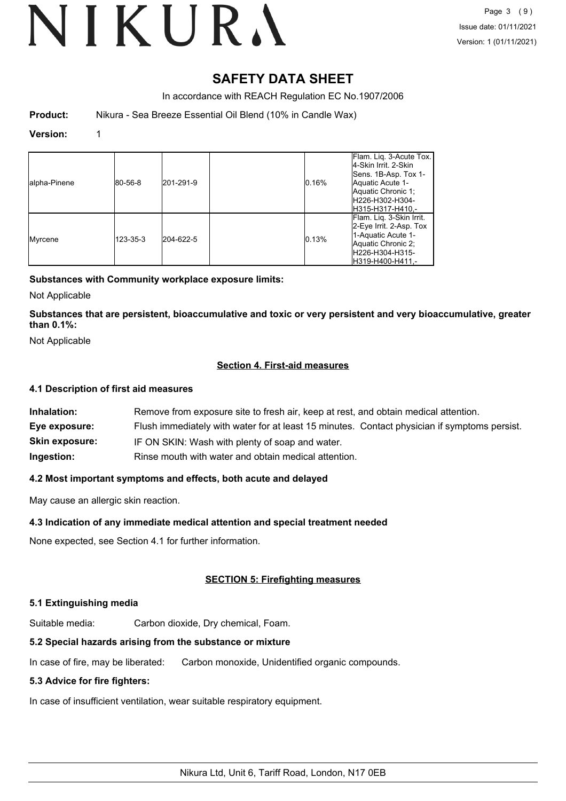# **SAFETY DATA SHEET**

In accordance with REACH Regulation EC No.1907/2006

**Product:** Nikura - Sea Breeze Essential Oil Blend (10% in Candle Wax)

# **Version:** 1

| alpha-Pinene | 80-56-8  | 201-291-9 | $ 0.16\%$ | Flam. Lig. 3-Acute Tox.<br>4-Skin Irrit. 2-Skin<br>Sens. 1B-Asp. Tox 1-<br>Aquatic Acute 1-<br>Aquatic Chronic 1;<br>IH226-H302-H304-<br>H315-H317-H410,- |
|--------------|----------|-----------|-----------|-----------------------------------------------------------------------------------------------------------------------------------------------------------|
| Myrcene      | 123-35-3 | 204-622-5 | 0.13%     | Flam. Lig. 3-Skin Irrit.<br>2-Eye Irrit. 2-Asp. Tox<br>1-Aquatic Acute 1-<br>Aquatic Chronic 2;<br>H226-H304-H315-<br>H319-H400-H411.-                    |

# **Substances with Community workplace exposure limits:**

Not Applicable

**Substances that are persistent, bioaccumulative and toxic or very persistent and very bioaccumulative, greater than 0.1%:**

Not Applicable

# **Section 4. First-aid measures**

# **4.1 Description of first aid measures**

| Inhalation:           | Remove from exposure site to fresh air, keep at rest, and obtain medical attention.          |
|-----------------------|----------------------------------------------------------------------------------------------|
| Eye exposure:         | Flush immediately with water for at least 15 minutes. Contact physician if symptoms persist. |
| <b>Skin exposure:</b> | IF ON SKIN: Wash with plenty of soap and water.                                              |
| Ingestion:            | Rinse mouth with water and obtain medical attention.                                         |

# **4.2 Most important symptoms and effects, both acute and delayed**

May cause an allergic skin reaction.

# **4.3 Indication of any immediate medical attention and special treatment needed**

None expected, see Section 4.1 for further information.

# **SECTION 5: Firefighting measures**

# **5.1 Extinguishing media**

Suitable media: Carbon dioxide, Dry chemical, Foam.

# **5.2 Special hazards arising from the substance or mixture**

In case of fire, may be liberated: Carbon monoxide, Unidentified organic compounds.

# **5.3 Advice for fire fighters:**

In case of insufficient ventilation, wear suitable respiratory equipment.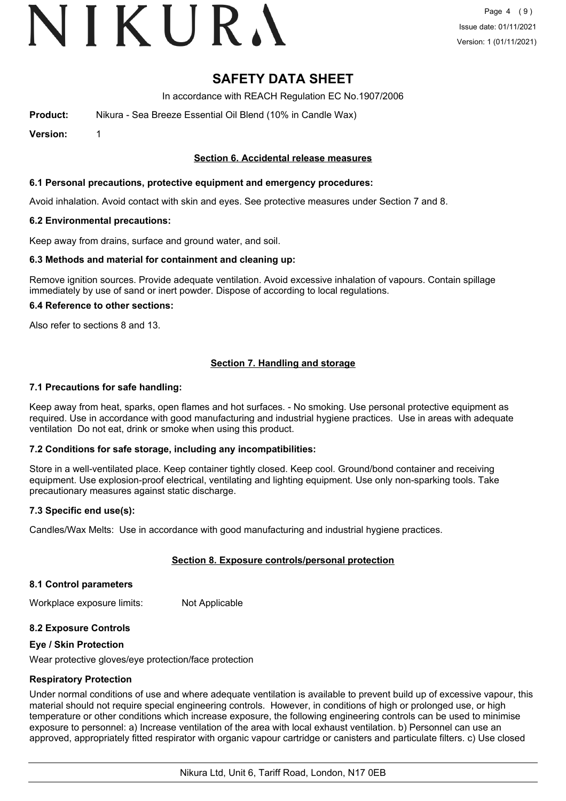# VIKURA

# **SAFETY DATA SHEET**

In accordance with REACH Regulation EC No.1907/2006

**Product:** Nikura - Sea Breeze Essential Oil Blend (10% in Candle Wax)

**Version:** 1

# **Section 6. Accidental release measures**

### **6.1 Personal precautions, protective equipment and emergency procedures:**

Avoid inhalation. Avoid contact with skin and eyes. See protective measures under Section 7 and 8.

#### **6.2 Environmental precautions:**

Keep away from drains, surface and ground water, and soil.

#### **6.3 Methods and material for containment and cleaning up:**

Remove ignition sources. Provide adequate ventilation. Avoid excessive inhalation of vapours. Contain spillage immediately by use of sand or inert powder. Dispose of according to local regulations.

#### **6.4 Reference to other sections:**

Also refer to sections 8 and 13.

# **Section 7. Handling and storage**

#### **7.1 Precautions for safe handling:**

Keep away from heat, sparks, open flames and hot surfaces. - No smoking. Use personal protective equipment as required. Use in accordance with good manufacturing and industrial hygiene practices. Use in areas with adequate ventilation Do not eat, drink or smoke when using this product.

# **7.2 Conditions for safe storage, including any incompatibilities:**

Store in a well-ventilated place. Keep container tightly closed. Keep cool. Ground/bond container and receiving equipment. Use explosion-proof electrical, ventilating and lighting equipment. Use only non-sparking tools. Take precautionary measures against static discharge.

# **7.3 Specific end use(s):**

Candles/Wax Melts: Use in accordance with good manufacturing and industrial hygiene practices.

# **Section 8. Exposure controls/personal protection**

#### **8.1 Control parameters**

Workplace exposure limits: Not Applicable

# **8.2 Exposure Controls**

#### **Eye / Skin Protection**

Wear protective gloves/eye protection/face protection

# **Respiratory Protection**

Under normal conditions of use and where adequate ventilation is available to prevent build up of excessive vapour, this material should not require special engineering controls. However, in conditions of high or prolonged use, or high temperature or other conditions which increase exposure, the following engineering controls can be used to minimise exposure to personnel: a) Increase ventilation of the area with local exhaust ventilation. b) Personnel can use an approved, appropriately fitted respirator with organic vapour cartridge or canisters and particulate filters. c) Use closed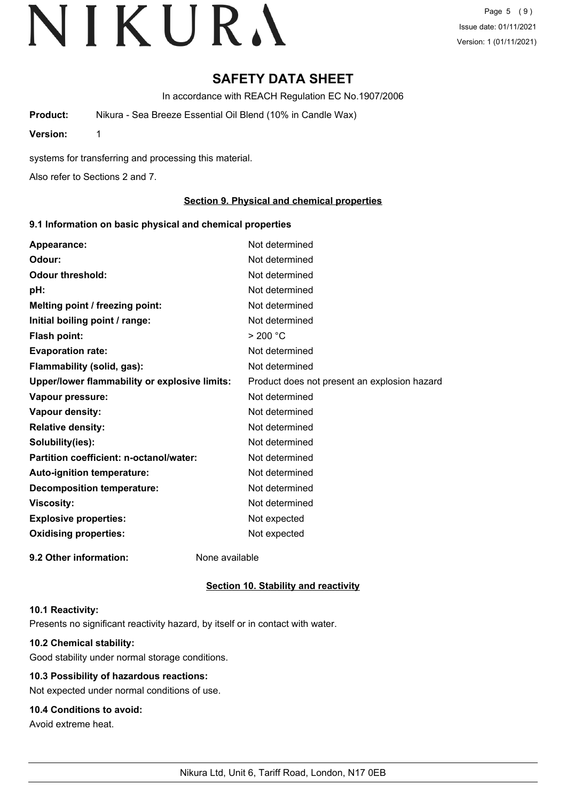Page 5 (9) Issue date: 01/11/2021 Version: 1 (01/11/2021)

# **SAFETY DATA SHEET**

In accordance with REACH Regulation EC No.1907/2006

**Product:** Nikura - Sea Breeze Essential Oil Blend (10% in Candle Wax)

**Version:** 1

systems for transferring and processing this material.

Also refer to Sections 2 and 7.

# **Section 9. Physical and chemical properties**

# **9.1 Information on basic physical and chemical properties**

| Appearance:                                   | Not determined                               |
|-----------------------------------------------|----------------------------------------------|
| Odour:                                        | Not determined                               |
| <b>Odour threshold:</b>                       | Not determined                               |
| pH:                                           | Not determined                               |
| Melting point / freezing point:               | Not determined                               |
| Initial boiling point / range:                | Not determined                               |
| Flash point:                                  | > 200 °C                                     |
| <b>Evaporation rate:</b>                      | Not determined                               |
| Flammability (solid, gas):                    | Not determined                               |
| Upper/lower flammability or explosive limits: | Product does not present an explosion hazard |
| Vapour pressure:                              | Not determined                               |
| Vapour density:                               | Not determined                               |
| <b>Relative density:</b>                      | Not determined                               |
| Solubility(ies):                              | Not determined                               |
| Partition coefficient: n-octanol/water:       | Not determined                               |
| Auto-ignition temperature:                    | Not determined                               |
| <b>Decomposition temperature:</b>             | Not determined                               |
| <b>Viscosity:</b>                             | Not determined                               |
| <b>Explosive properties:</b>                  | Not expected                                 |
| <b>Oxidising properties:</b>                  | Not expected                                 |
| 9.2 Other information:                        | None available                               |

# **Section 10. Stability and reactivity**

#### **10.1 Reactivity:**

Presents no significant reactivity hazard, by itself or in contact with water.

# **10.2 Chemical stability:**

Good stability under normal storage conditions.

# **10.3 Possibility of hazardous reactions:**

Not expected under normal conditions of use.

# **10.4 Conditions to avoid:**

Avoid extreme heat.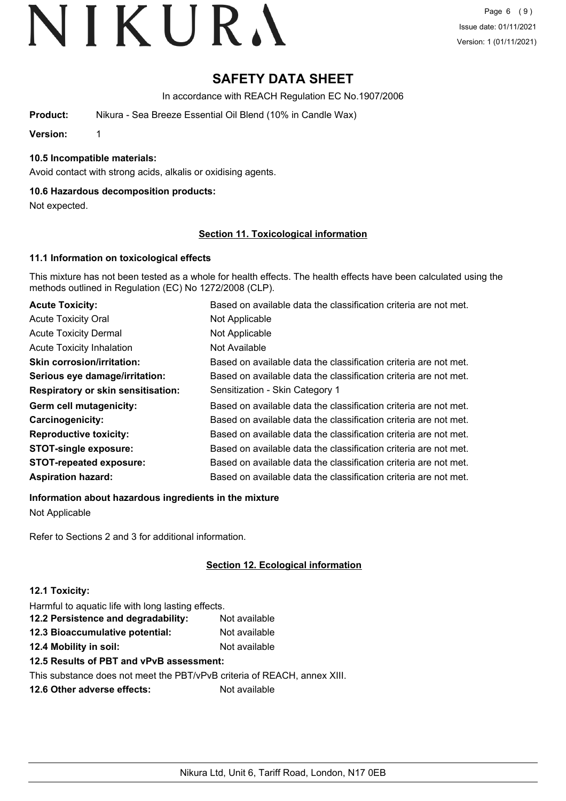# **SAFETY DATA SHEET**

In accordance with REACH Regulation EC No.1907/2006

**Product:** Nikura - Sea Breeze Essential Oil Blend (10% in Candle Wax)

**Version:** 1

# **10.5 Incompatible materials:**

Avoid contact with strong acids, alkalis or oxidising agents.

# **10.6 Hazardous decomposition products:**

Not expected.

# **Section 11. Toxicological information**

# **11.1 Information on toxicological effects**

This mixture has not been tested as a whole for health effects. The health effects have been calculated using the methods outlined in Regulation (EC) No 1272/2008 (CLP).

| <b>Acute Toxicity:</b>                    | Based on available data the classification criteria are not met. |
|-------------------------------------------|------------------------------------------------------------------|
| <b>Acute Toxicity Oral</b>                | Not Applicable                                                   |
| <b>Acute Toxicity Dermal</b>              | Not Applicable                                                   |
| <b>Acute Toxicity Inhalation</b>          | Not Available                                                    |
| <b>Skin corrosion/irritation:</b>         | Based on available data the classification criteria are not met. |
| Serious eye damage/irritation:            | Based on available data the classification criteria are not met. |
| <b>Respiratory or skin sensitisation:</b> | Sensitization - Skin Category 1                                  |
| Germ cell mutagenicity:                   | Based on available data the classification criteria are not met. |
| Carcinogenicity:                          | Based on available data the classification criteria are not met. |
| <b>Reproductive toxicity:</b>             | Based on available data the classification criteria are not met. |
| <b>STOT-single exposure:</b>              | Based on available data the classification criteria are not met. |
| <b>STOT-repeated exposure:</b>            | Based on available data the classification criteria are not met. |
| <b>Aspiration hazard:</b>                 | Based on available data the classification criteria are not met. |

**Information about hazardous ingredients in the mixture**

Not Applicable

Refer to Sections 2 and 3 for additional information.

# **Section 12. Ecological information**

# **12.1 Toxicity:**

Harmful to aquatic life with long lasting effects.

| 12.2 Persistence and degradability: | Not available |
|-------------------------------------|---------------|
| 12.3 Bioaccumulative potential:     | Not available |
|                                     |               |

**12.4 Mobility in soil:** Not available **12.5 Results of PBT and vPvB assessment:**

This substance does not meet the PBT/vPvB criteria of REACH, annex XIII.

**12.6 Other adverse effects:** Not available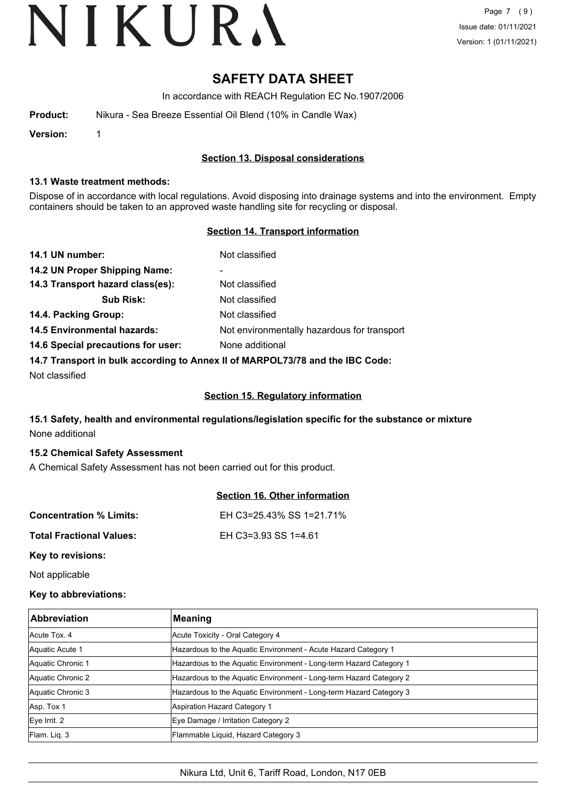# **SAFETY DATA SHEET**

In accordance with REACH Regulation EC No.1907/2006

| Product: | Nikura - Sea Breeze Essential Oil Blend (10% in Candle Wax) |
|----------|-------------------------------------------------------------|
|          |                                                             |

**Version:** 1

# **Section 13. Disposal considerations**

#### **13.1 Waste treatment methods:**

Dispose of in accordance with local regulations. Avoid disposing into drainage systems and into the environment. Empty containers should be taken to an approved waste handling site for recycling or disposal.

# **Section 14. Transport information**

| 14.1 UN number:                                                               | Not classified                              |  |
|-------------------------------------------------------------------------------|---------------------------------------------|--|
| 14.2 UN Proper Shipping Name:                                                 | ۰                                           |  |
| 14.3 Transport hazard class(es):                                              | Not classified                              |  |
| <b>Sub Risk:</b>                                                              | Not classified                              |  |
| 14.4. Packing Group:                                                          | Not classified                              |  |
| <b>14.5 Environmental hazards:</b>                                            | Not environmentally hazardous for transport |  |
| 14.6 Special precautions for user:                                            | None additional                             |  |
| 14.7 Transport in bulk according to Annex II of MARPOL73/78 and the IBC Code: |                                             |  |

Not classified

# **Section 15. Regulatory information**

# **15.1 Safety, health and environmental regulations/legislation specific for the substance or mixture** None additional

# **15.2 Chemical Safety Assessment**

A Chemical Safety Assessment has not been carried out for this product.

|                                 | <b>Section 16. Other information</b> |
|---------------------------------|--------------------------------------|
| <b>Concentration % Limits:</b>  | EH C3=25.43% SS 1=21.71%             |
| <b>Total Fractional Values:</b> | EH C3=3.93 SS 1=4.61                 |
| Key to revisions:               |                                      |

Not applicable

# **Key to abbreviations:**

| <b>Abbreviation</b> | <b>Meaning</b>                                                     |
|---------------------|--------------------------------------------------------------------|
| Acute Tox, 4        | Acute Toxicity - Oral Category 4                                   |
| Aquatic Acute 1     | Hazardous to the Aquatic Environment - Acute Hazard Category 1     |
| Aquatic Chronic 1   | Hazardous to the Aquatic Environment - Long-term Hazard Category 1 |
| Aquatic Chronic 2   | Hazardous to the Aquatic Environment - Long-term Hazard Category 2 |
| Aquatic Chronic 3   | Hazardous to the Aquatic Environment - Long-term Hazard Category 3 |
| Asp. Tox 1          | Aspiration Hazard Category 1                                       |
| $Eye$ Irrit. 2      | Eye Damage / Irritation Category 2                                 |
| Flam. Lig. 3        | Flammable Liquid, Hazard Category 3                                |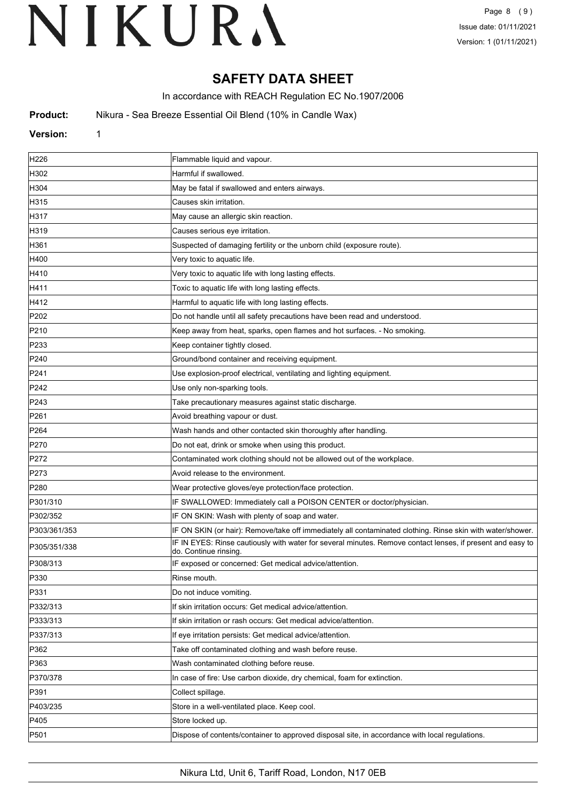# **SAFETY DATA SHEET**

In accordance with REACH Regulation EC No.1907/2006

**Product:** Nikura - Sea Breeze Essential Oil Blend (10% in Candle Wax)

### **Version:** 1

| H226             | Flammable liquid and vapour.                                                                                                       |
|------------------|------------------------------------------------------------------------------------------------------------------------------------|
| H302             | Harmful if swallowed.                                                                                                              |
| H304             | May be fatal if swallowed and enters airways.                                                                                      |
| H315             | Causes skin irritation.                                                                                                            |
| H317             | May cause an allergic skin reaction.                                                                                               |
| H319             | Causes serious eye irritation.                                                                                                     |
| H361             | Suspected of damaging fertility or the unborn child (exposure route).                                                              |
| H400             | Very toxic to aquatic life.                                                                                                        |
| H410             | Very toxic to aquatic life with long lasting effects.                                                                              |
| H411             | Toxic to aquatic life with long lasting effects.                                                                                   |
| H412             | Harmful to aquatic life with long lasting effects.                                                                                 |
| P202             | Do not handle until all safety precautions have been read and understood.                                                          |
| P210             | Keep away from heat, sparks, open flames and hot surfaces. - No smoking.                                                           |
| P233             | Keep container tightly closed.                                                                                                     |
| P240             | Ground/bond container and receiving equipment.                                                                                     |
| P241             | Use explosion-proof electrical, ventilating and lighting equipment.                                                                |
| P242             | Use only non-sparking tools.                                                                                                       |
| P243             | Take precautionary measures against static discharge.                                                                              |
| P261             | Avoid breathing vapour or dust.                                                                                                    |
| P <sub>264</sub> | Wash hands and other contacted skin thoroughly after handling.                                                                     |
| P270             | Do not eat, drink or smoke when using this product.                                                                                |
| P272             | Contaminated work clothing should not be allowed out of the workplace.                                                             |
| P273             | Avoid release to the environment.                                                                                                  |
| P280             | Wear protective gloves/eye protection/face protection.                                                                             |
| P301/310         | IF SWALLOWED: Immediately call a POISON CENTER or doctor/physician.                                                                |
| P302/352         | IF ON SKIN: Wash with plenty of soap and water.                                                                                    |
| P303/361/353     | IF ON SKIN (or hair): Remove/take off immediately all contaminated clothing. Rinse skin with water/shower.                         |
| P305/351/338     | IF IN EYES: Rinse cautiously with water for several minutes. Remove contact lenses, if present and easy to<br>do. Continue rinsing |
| P308/313         | IF exposed or concerned: Get medical advice/attention.                                                                             |
| P330             | Rinse mouth.                                                                                                                       |
| P331             | Do not induce vomiting.                                                                                                            |
| P332/313         | If skin irritation occurs: Get medical advice/attention.                                                                           |
| P333/313         | If skin irritation or rash occurs: Get medical advice/attention.                                                                   |
| P337/313         | If eye irritation persists: Get medical advice/attention.                                                                          |
| P362             | Take off contaminated clothing and wash before reuse.                                                                              |
| P363             | Wash contaminated clothing before reuse.                                                                                           |
| P370/378         | In case of fire: Use carbon dioxide, dry chemical, foam for extinction.                                                            |
| P391             | Collect spillage.                                                                                                                  |
| P403/235         | Store in a well-ventilated place. Keep cool.                                                                                       |
| P405             | Store locked up.                                                                                                                   |
| P501             | Dispose of contents/container to approved disposal site, in accordance with local regulations.                                     |